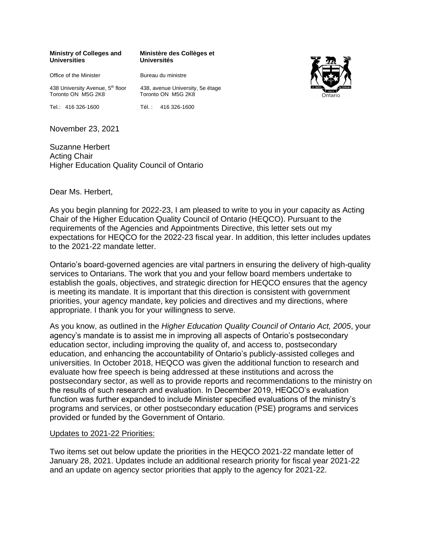#### **Ministry of Colleges and Universities**

**Ministère des Collèges et Universités**

Office of the Minister

Toronto ON M5G 2K8 Tel.: 416 326-1600

438 University Avenue, 5<sup>th</sup> floor 438, avenue University, 5e étage Toronto ON M5G 2K8

Tél. : 416 326-1600

Bureau du ministre

November 23, 2021

Suzanne Herbert Acting Chair Higher Education Quality Council of Ontario

#### Dear Ms. Herbert,

As you begin planning for 2022-23, I am pleased to write to you in your capacity as Acting Chair of the Higher Education Quality Council of Ontario (HEQCO). Pursuant to the requirements of the Agencies and Appointments Directive, this letter sets out my expectations for HEQCO for the 2022-23 fiscal year. In addition, this letter includes updates to the 2021-22 mandate letter.

Ontario's board-governed agencies are vital partners in ensuring the delivery of high-quality services to Ontarians. The work that you and your fellow board members undertake to establish the goals, objectives, and strategic direction for HEQCO ensures that the agency is meeting its mandate. It is important that this direction is consistent with government priorities, your agency mandate, key policies and directives and my directions, where appropriate. I thank you for your willingness to serve.

As you know, as outlined in the *Higher Education Quality Council of Ontario Act, 2005*, your agency's mandate is to assist me in improving all aspects of Ontario's postsecondary education sector, including improving the quality of, and access to, postsecondary education, and enhancing the accountability of Ontario's publicly-assisted colleges and universities. In October 2018, HEQCO was given the additional function to research and evaluate how free speech is being addressed at these institutions and across the postsecondary sector, as well as to provide reports and recommendations to the ministry on the results of such research and evaluation. In December 2019, HEQCO's evaluation function was further expanded to include Minister specified evaluations of the ministry's programs and services, or other postsecondary education (PSE) programs and services provided or funded by the Government of Ontario.

#### Updates to 2021-22 Priorities:

Two items set out below update the priorities in the HEQCO 2021-22 mandate letter of January 28, 2021. Updates include an additional research priority for fiscal year 2021-22 and an update on agency sector priorities that apply to the agency for 2021-22.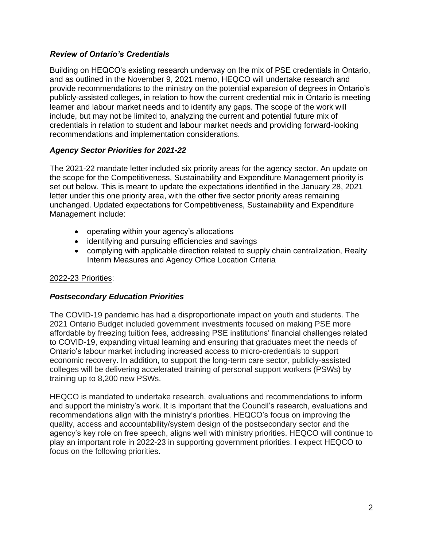# *Review of Ontario's Credentials*

Building on HEQCO's existing research underway on the mix of PSE credentials in Ontario, and as outlined in the November 9, 2021 memo, HEQCO will undertake research and provide recommendations to the ministry on the potential expansion of degrees in Ontario's publicly-assisted colleges, in relation to how the current credential mix in Ontario is meeting learner and labour market needs and to identify any gaps. The scope of the work will include, but may not be limited to, analyzing the current and potential future mix of credentials in relation to student and labour market needs and providing forward-looking recommendations and implementation considerations.

# *Agency Sector Priorities for 2021-22*

The 2021-22 mandate letter included six priority areas for the agency sector. An update on the scope for the Competitiveness, Sustainability and Expenditure Management priority is set out below. This is meant to update the expectations identified in the January 28, 2021 letter under this one priority area, with the other five sector priority areas remaining unchanged. Updated expectations for Competitiveness, Sustainability and Expenditure Management include:

- operating within your agency's allocations
- identifying and pursuing efficiencies and savings
- complying with applicable direction related to supply chain centralization, Realty Interim Measures and Agency Office Location Criteria

# 2022-23 Priorities:

# *Postsecondary Education Priorities*

The COVID-19 pandemic has had a disproportionate impact on youth and students. The 2021 Ontario Budget included government investments focused on making PSE more affordable by freezing tuition fees, addressing PSE institutions' financial challenges related to COVID-19, expanding virtual learning and ensuring that graduates meet the needs of Ontario's labour market including increased access to micro-credentials to support economic recovery. In addition, to support the long-term care sector, publicly-assisted colleges will be delivering accelerated training of personal support workers (PSWs) by training up to 8,200 new PSWs.

HEQCO is mandated to undertake research, evaluations and recommendations to inform and support the ministry's work. It is important that the Council's research, evaluations and recommendations align with the ministry's priorities. HEQCO's focus on improving the quality, access and accountability/system design of the postsecondary sector and the agency's key role on free speech, aligns well with ministry priorities. HEQCO will continue to play an important role in 2022-23 in supporting government priorities. I expect HEQCO to focus on the following priorities.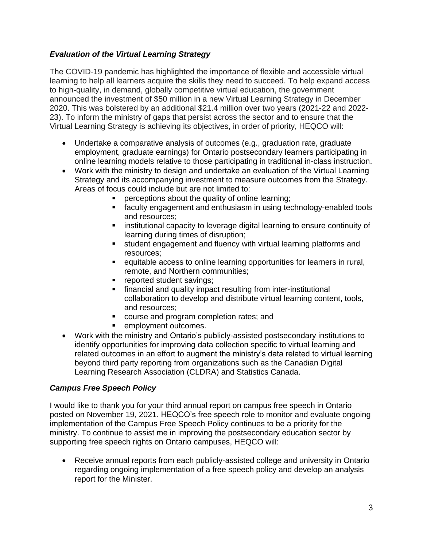# *Evaluation of the Virtual Learning Strategy*

The COVID-19 pandemic has highlighted the importance of flexible and accessible virtual learning to help all learners acquire the skills they need to succeed. To help expand access to high-quality, in demand, globally competitive virtual education, the government announced the investment of \$50 million in a new Virtual Learning Strategy in December 2020. This was bolstered by an additional \$21.4 million over two years (2021-22 and 2022- 23). To inform the ministry of gaps that persist across the sector and to ensure that the Virtual Learning Strategy is achieving its objectives, in order of priority, HEQCO will:

- Undertake a comparative analysis of outcomes (e.g., graduation rate, graduate employment, graduate earnings) for Ontario postsecondary learners participating in online learning models relative to those participating in traditional in-class instruction.
- Work with the ministry to design and undertake an evaluation of the Virtual Learning Strategy and its accompanying investment to measure outcomes from the Strategy. Areas of focus could include but are not limited to:
	- perceptions about the quality of online learning;
	- **E** faculty engagement and enthusiasm in using technology-enabled tools and resources;
	- **E** institutional capacity to leverage digital learning to ensure continuity of learning during times of disruption;
	- student engagement and fluency with virtual learning platforms and resources;
	- equitable access to online learning opportunities for learners in rural, remote, and Northern communities;
	- **•** reported student savings;
	- **•** financial and quality impact resulting from inter-institutional collaboration to develop and distribute virtual learning content, tools, and resources;
	- course and program completion rates; and
	- employment outcomes.
- Work with the ministry and Ontario's publicly-assisted postsecondary institutions to identify opportunities for improving data collection specific to virtual learning and related outcomes in an effort to augment the ministry's data related to virtual learning beyond third party reporting from organizations such as the Canadian Digital Learning Research Association (CLDRA) and Statistics Canada.

# *Campus Free Speech Policy*

I would like to thank you for your third annual report on campus free speech in Ontario posted on November 19, 2021. HEQCO's free speech role to monitor and evaluate ongoing implementation of the Campus Free Speech Policy continues to be a priority for the ministry. To continue to assist me in improving the postsecondary education sector by supporting free speech rights on Ontario campuses, HEQCO will:

• Receive annual reports from each publicly-assisted college and university in Ontario regarding ongoing implementation of a free speech policy and develop an analysis report for the Minister.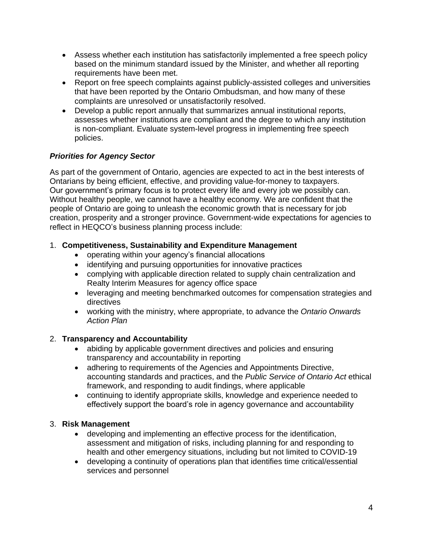- Assess whether each institution has satisfactorily implemented a free speech policy based on the minimum standard issued by the Minister, and whether all reporting requirements have been met.
- Report on free speech complaints against publicly-assisted colleges and universities that have been reported by the Ontario Ombudsman, and how many of these complaints are unresolved or unsatisfactorily resolved.
- Develop a public report annually that summarizes annual institutional reports, assesses whether institutions are compliant and the degree to which any institution is non-compliant. Evaluate system-level progress in implementing free speech policies.

# *Priorities for Agency Sector*

As part of the government of Ontario, agencies are expected to act in the best interests of Ontarians by being efficient, effective, and providing value-for-money to taxpayers. Our government's primary focus is to protect every life and every job we possibly can. Without healthy people, we cannot have a healthy economy. We are confident that the people of Ontario are going to unleash the economic growth that is necessary for job creation, prosperity and a stronger province. Government-wide expectations for agencies to reflect in HEQCO's business planning process include:

# 1. **Competitiveness, Sustainability and Expenditure Management**

- operating within your agency's financial allocations
- identifying and pursuing opportunities for innovative practices
- complying with applicable direction related to supply chain centralization and Realty Interim Measures for agency office space
- leveraging and meeting benchmarked outcomes for compensation strategies and directives
- working with the ministry, where appropriate, to advance the *Ontario Onwards Action Plan*

# 2. **Transparency and Accountability**

- abiding by applicable government directives and policies and ensuring transparency and accountability in reporting
- adhering to requirements of the Agencies and Appointments Directive, accounting standards and practices, and the *Public Service of Ontario Act* ethical framework, and responding to audit findings, where applicable
- continuing to identify appropriate skills, knowledge and experience needed to effectively support the board's role in agency governance and accountability

# 3. **Risk Management**

- developing and implementing an effective process for the identification, assessment and mitigation of risks, including planning for and responding to health and other emergency situations, including but not limited to COVID-19
- developing a continuity of operations plan that identifies time critical/essential services and personnel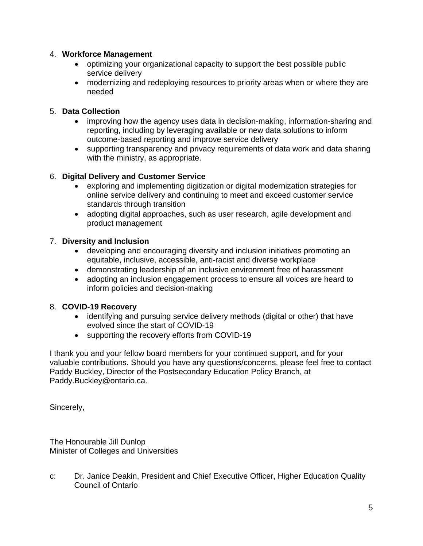# 4. **Workforce Management**

- optimizing your organizational capacity to support the best possible public service delivery
- modernizing and redeploying resources to priority areas when or where they are needed

### 5. **Data Collection**

- improving how the agency uses data in decision-making, information-sharing and reporting, including by leveraging available or new data solutions to inform outcome-based reporting and improve service delivery
- supporting transparency and privacy requirements of data work and data sharing with the ministry, as appropriate.

### 6. **Digital Delivery and Customer Service**

- exploring and implementing digitization or digital modernization strategies for online service delivery and continuing to meet and exceed customer service standards through transition
- adopting digital approaches, such as user research, agile development and product management

### 7. **Diversity and Inclusion**

- developing and encouraging diversity and inclusion initiatives promoting an equitable, inclusive, accessible, anti-racist and diverse workplace
- demonstrating leadership of an inclusive environment free of harassment
- adopting an inclusion engagement process to ensure all voices are heard to inform policies and decision-making

#### 8. **COVID-19 Recovery**

- identifying and pursuing service delivery methods (digital or other) that have evolved since the start of COVID-19
- supporting the recovery efforts from COVID-19

I thank you and your fellow board members for your continued support, and for your valuable contributions. Should you have any questions/concerns, please feel free to contact Paddy Buckley, Director of the Postsecondary Education Policy Branch, at Paddy.Buckley@ontario.ca.

Sincerely,

The Honourable Jill Dunlop Minister of Colleges and Universities

c: Dr. Janice Deakin, President and Chief Executive Officer, Higher Education Quality Council of Ontario